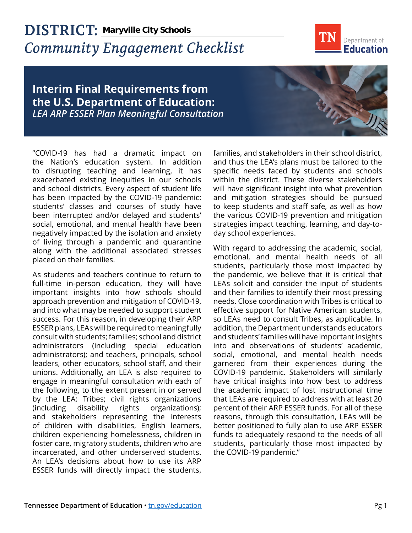## **DISTRICT: Maryville City Schools***Community Engagement Checklist*



## **Interim Final Requirements from the U.S. Department of Education:**  *LEA ARP ESSER Plan Meaningful Consultation*

"COVID-19 has had a dramatic impact on the Nation's education system. In addition to disrupting teaching and learning, it has exacerbated existing inequities in our schools and school districts. Every aspect of student life has been impacted by the COVID-19 pandemic: students' classes and courses of study have been interrupted and/or delayed and students' social, emotional, and mental health have been negatively impacted by the isolation and anxiety of living through a pandemic and quarantine along with the additional associated stresses placed on their families.

As students and teachers continue to return to full-time in-person education, they will have important insights into how schools should approach prevention and mitigation of COVID-19, and into what may be needed to support student success. For this reason, in developing their ARP ESSER plans, LEAs will be required to meaningfully consult with students; families; school and district administrators (including special education administrators); and teachers, principals, school leaders, other educators, school staff, and their unions. Additionally, an LEA is also required to engage in meaningful consultation with each of the following, to the extent present in or served by the LEA: Tribes; civil rights organizations (including disability rights organizations); and stakeholders representing the interests of children with disabilities, English learners, children experiencing homelessness, children in foster care, migratory students, children who are incarcerated, and other underserved students. An LEA's decisions about how to use its ARP ESSER funds will directly impact the students,

families, and stakeholders in their school district, and thus the LEA's plans must be tailored to the specific needs faced by students and schools within the district. These diverse stakeholders will have significant insight into what prevention and mitigation strategies should be pursued to keep students and staff safe, as well as how the various COVID-19 prevention and mitigation strategies impact teaching, learning, and day-today school experiences.

With regard to addressing the academic, social, emotional, and mental health needs of all students, particularly those most impacted by the pandemic, we believe that it is critical that LEAs solicit and consider the input of students and their families to identify their most pressing needs. Close coordination with Tribes is critical to effective support for Native American students, so LEAs need to consult Tribes, as applicable. In addition, the Department understands educators and students' families will have important insights into and observations of students' academic, social, emotional, and mental health needs garnered from their experiences during the COVID-19 pandemic. Stakeholders will similarly have critical insights into how best to address the academic impact of lost instructional time that LEAs are required to address with at least 20 percent of their ARP ESSER funds. For all of these reasons, through this consultation, LEAs will be better positioned to fully plan to use ARP ESSER funds to adequately respond to the needs of all students, particularly those most impacted by the COVID-19 pandemic."